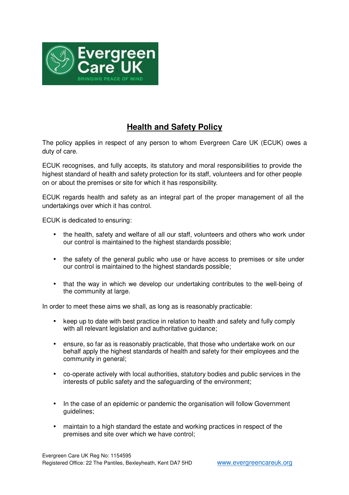

## **Health and Safety Policy**

The policy applies in respect of any person to whom Evergreen Care UK (ECUK) owes a duty of care.

ECUK recognises, and fully accepts, its statutory and moral responsibilities to provide the highest standard of health and safety protection for its staff, volunteers and for other people on or about the premises or site for which it has responsibility.

ECUK regards health and safety as an integral part of the proper management of all the undertakings over which it has control.

ECUK is dedicated to ensuring:

- the health, safety and welfare of all our staff, volunteers and others who work under our control is maintained to the highest standards possible;
- the safety of the general public who use or have access to premises or site under our control is maintained to the highest standards possible;
- that the way in which we develop our undertaking contributes to the well-being of the community at large.

In order to meet these aims we shall, as long as is reasonably practicable:

- keep up to date with best practice in relation to health and safety and fully comply with all relevant legislation and authoritative guidance;
- ensure, so far as is reasonably practicable, that those who undertake work on our behalf apply the highest standards of health and safety for their employees and the community in general;
- co-operate actively with local authorities, statutory bodies and public services in the interests of public safety and the safeguarding of the environment;
- In the case of an epidemic or pandemic the organisation will follow Government guidelines;
- maintain to a high standard the estate and working practices in respect of the premises and site over which we have control;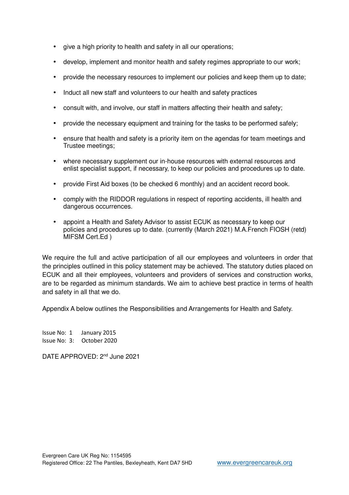- give a high priority to health and safety in all our operations;
- develop, implement and monitor health and safety regimes appropriate to our work;
- provide the necessary resources to implement our policies and keep them up to date;
- Induct all new staff and volunteers to our health and safety practices
- consult with, and involve, our staff in matters affecting their health and safety;
- provide the necessary equipment and training for the tasks to be performed safely;
- ensure that health and safety is a priority item on the agendas for team meetings and Trustee meetings;
- where necessary supplement our in-house resources with external resources and enlist specialist support, if necessary, to keep our policies and procedures up to date.
- provide First Aid boxes (to be checked 6 monthly) and an accident record book.
- comply with the RIDDOR regulations in respect of reporting accidents, ill health and dangerous occurrences.
- appoint a Health and Safety Advisor to assist ECUK as necessary to keep our policies and procedures up to date. (currently (March 2021) M.A.French FIOSH (retd) MIFSM Cert.Ed )

We require the full and active participation of all our employees and volunteers in order that the principles outlined in this policy statement may be achieved. The statutory duties placed on ECUK and all their employees, volunteers and providers of services and construction works, are to be regarded as minimum standards. We aim to achieve best practice in terms of health and safety in all that we do.

Appendix A below outlines the Responsibilities and Arrangements for Health and Safety.

Issue No: 1 January 2015 Issue No: 3: October 2020

DATE APPROVED: 2<sup>nd</sup> June 2021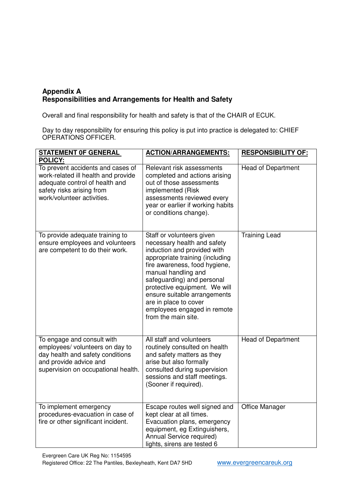## **Appendix A Responsibilities and Arrangements for Health and Safety**

Overall and final responsibility for health and safety is that of the CHAIR of ECUK.

Day to day responsibility for ensuring this policy is put into practice is delegated to: CHIEF OPERATIONS OFFICER.

| <b>STATEMENT OF GENERAL</b><br><b>POLICY:</b>                                                                                                                         | <b>ACTION/ARRANGEMENTS:</b>                                                                                                                                                                                                                                                                                                                                      | <b>RESPONSIBILITY OF:</b> |
|-----------------------------------------------------------------------------------------------------------------------------------------------------------------------|------------------------------------------------------------------------------------------------------------------------------------------------------------------------------------------------------------------------------------------------------------------------------------------------------------------------------------------------------------------|---------------------------|
| To prevent accidents and cases of<br>work-related ill health and provide<br>adequate control of health and<br>safety risks arising from<br>work/volunteer activities. | Relevant risk assessments<br>completed and actions arising<br>out of those assessments<br>implemented (Risk<br>assessments reviewed every<br>year or earlier if working habits<br>or conditions change).                                                                                                                                                         | <b>Head of Department</b> |
| To provide adequate training to<br>ensure employees and volunteers<br>are competent to do their work.                                                                 | Staff or volunteers given<br>necessary health and safety<br>induction and provided with<br>appropriate training (including<br>fire awareness, food hygiene,<br>manual handling and<br>safeguarding) and personal<br>protective equipment. We will<br>ensure suitable arrangements<br>are in place to cover<br>employees engaged in remote<br>from the main site. | <b>Training Lead</b>      |
| To engage and consult with<br>employees/ volunteers on day to<br>day health and safety conditions<br>and provide advice and<br>supervision on occupational health.    | All staff and volunteers<br>routinely consulted on health<br>and safety matters as they<br>arise but also formally<br>consulted during supervision<br>sessions and staff meetings.<br>(Sooner if required).                                                                                                                                                      | <b>Head of Department</b> |
| To implement emergency<br>procedures-evacuation in case of<br>fire or other significant incident.                                                                     | Escape routes well signed and<br>kept clear at all times.<br>Evacuation plans, emergency<br>equipment, eg Extinguishers,<br>Annual Service required)<br>lights, sirens are tested 6                                                                                                                                                                              | <b>Office Manager</b>     |